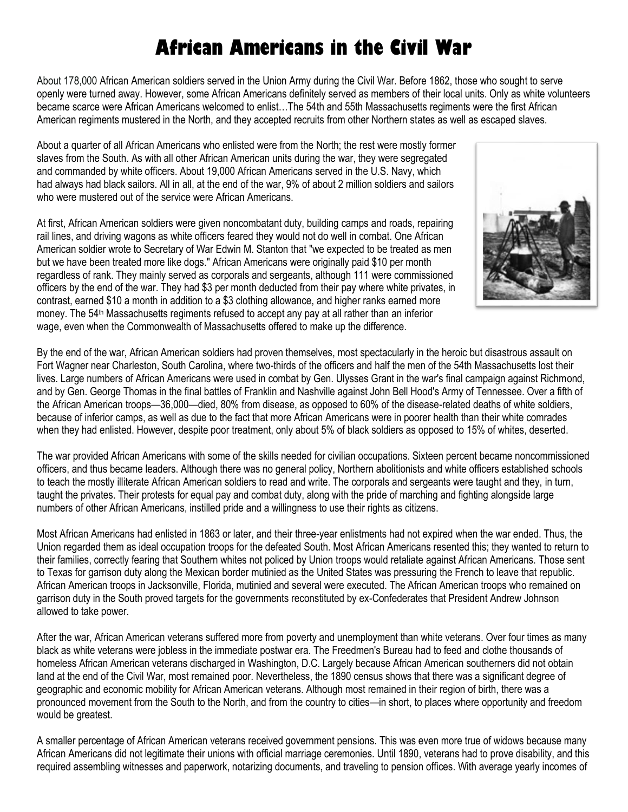## **African Americans in the Civil War**

About 178,000 African American soldiers served in the Union Army during the Civil War. Before 1862, those who sought to serve openly were turned away. However, some African Americans definitely served as members of their local units. Only as white volunteers became scarce were African Americans welcomed to enlist…The 54th and 55th Massachusetts regiments were the first African American regiments mustered in the North, and they accepted recruits from other Northern states as well as escaped slaves.

About a quarter of all African Americans who enlisted were from the North; the rest were mostly former slaves from the South. As with all other African American units during the war, they were segregated and commanded by white officers. About 19,000 African Americans served in the U.S. Navy, which had always had black sailors. All in all, at the end of the war, 9% of about 2 million soldiers and sailors who were mustered out of the service were African Americans.

At first, African American soldiers were given noncombatant duty, building camps and roads, repairing rail lines, and driving wagons as white officers feared they would not do well in combat. One African American soldier wrote to Secretary of War Edwin M. Stanton that "we expected to be treated as men but we have been treated more like dogs." African Americans were originally paid \$10 per month regardless of rank. They mainly served as corporals and sergeants, although 111 were commissioned officers by the end of the war. They had \$3 per month deducted from their pay where white privates, in contrast, earned \$10 a month in addition to a \$3 clothing allowance, and higher ranks earned more money. The 54<sup>th</sup> Massachusetts regiments refused to accept any pay at all rather than an inferior wage, even when the Commonwealth of Massachusetts offered to make up the difference.



By the end of the war, African American soldiers had proven themselves, most spectacularly in the heroic but disastrous assault on Fort Wagner near Charleston, South Carolina, where two-thirds of the officers and half the men of the 54th Massachusetts lost their lives. Large numbers of African Americans were used in combat by Gen. Ulysses Grant in the war's final campaign against Richmond, and by Gen. George Thomas in the final battles of Franklin and Nashville against John Bell Hood's Army of Tennessee. Over a fifth of the African American troops—36,000—died, 80% from disease, as opposed to 60% of the disease-related deaths of white soldiers, because of inferior camps, as well as due to the fact that more African Americans were in poorer health than their white comrades when they had enlisted. However, despite poor treatment, only about 5% of black soldiers as opposed to 15% of whites, deserted.

The war provided African Americans with some of the skills needed for civilian occupations. Sixteen percent became noncommissioned officers, and thus became leaders. Although there was no general policy, Northern abolitionists and white officers established schools to teach the mostly illiterate African American soldiers to read and write. The corporals and sergeants were taught and they, in turn, taught the privates. Their protests for equal pay and combat duty, along with the pride of marching and fighting alongside large numbers of other African Americans, instilled pride and a willingness to use their rights as citizens.

Most African Americans had enlisted in 1863 or later, and their three-year enlistments had not expired when the war ended. Thus, the Union regarded them as ideal occupation troops for the defeated South. Most African Americans resented this; they wanted to return to their families, correctly fearing that Southern whites not policed by Union troops would retaliate against African Americans. Those sent to Texas for garrison duty along the Mexican border mutinied as the United States was pressuring the French to leave that republic. African American troops in Jacksonville, Florida, mutinied and several were executed. The African American troops who remained on garrison duty in the South proved targets for the governments reconstituted by ex-Confederates that President Andrew Johnson allowed to take power.

After the war, African American veterans suffered more from poverty and unemployment than white veterans. Over four times as many black as white veterans were jobless in the immediate postwar era. The Freedmen's Bureau had to feed and clothe thousands of homeless African American veterans discharged in Washington, D.C. Largely because African American southerners did not obtain land at the end of the Civil War, most remained poor. Nevertheless, the 1890 census shows that there was a significant degree of geographic and economic mobility for African American veterans. Although most remained in their region of birth, there was a pronounced movement from the South to the North, and from the country to cities—in short, to places where opportunity and freedom would be greatest.

A smaller percentage of African American veterans received government pensions. This was even more true of widows because many African Americans did not legitimate their unions with official marriage ceremonies. Until 1890, veterans had to prove disability, and this required assembling witnesses and paperwork, notarizing documents, and traveling to pension offices. With average yearly incomes of